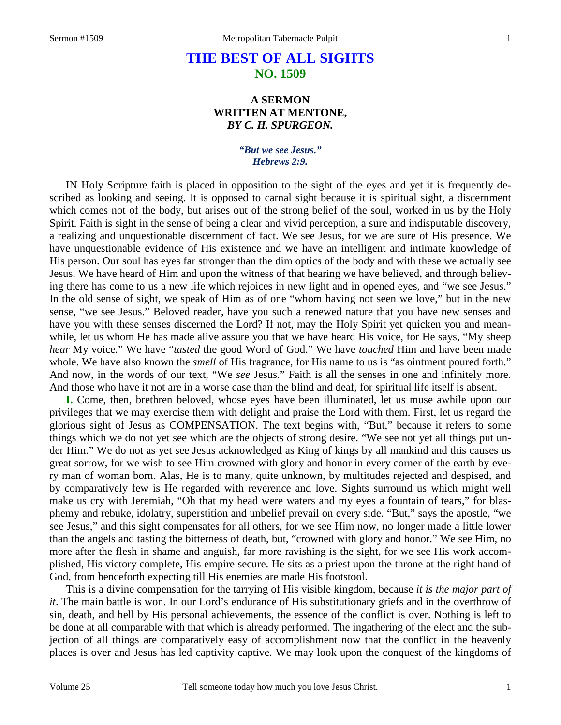## **THE BEST OF ALL SIGHTS NO. 1509**

## **A SERMON WRITTEN AT MENTONE,**  *BY C. H. SPURGEON.*

## *"But we see Jesus." Hebrews 2:9.*

IN Holy Scripture faith is placed in opposition to the sight of the eyes and yet it is frequently described as looking and seeing. It is opposed to carnal sight because it is spiritual sight, a discernment which comes not of the body, but arises out of the strong belief of the soul, worked in us by the Holy Spirit. Faith is sight in the sense of being a clear and vivid perception, a sure and indisputable discovery, a realizing and unquestionable discernment of fact. We see Jesus, for we are sure of His presence. We have unquestionable evidence of His existence and we have an intelligent and intimate knowledge of His person. Our soul has eyes far stronger than the dim optics of the body and with these we actually see Jesus. We have heard of Him and upon the witness of that hearing we have believed, and through believing there has come to us a new life which rejoices in new light and in opened eyes, and "we see Jesus." In the old sense of sight, we speak of Him as of one "whom having not seen we love," but in the new sense, "we see Jesus." Beloved reader, have you such a renewed nature that you have new senses and have you with these senses discerned the Lord? If not, may the Holy Spirit yet quicken you and meanwhile, let us whom He has made alive assure you that we have heard His voice, for He says, "My sheep *hear* My voice." We have "*tasted* the good Word of God." We have *touched* Him and have been made whole. We have also known the *smell* of His fragrance, for His name to us is "as ointment poured forth." And now, in the words of our text, "We *see* Jesus." Faith is all the senses in one and infinitely more. And those who have it not are in a worse case than the blind and deaf, for spiritual life itself is absent.

**I.** Come, then, brethren beloved, whose eyes have been illuminated, let us muse awhile upon our privileges that we may exercise them with delight and praise the Lord with them. First, let us regard the glorious sight of Jesus as COMPENSATION. The text begins with, "But," because it refers to some things which we do not yet see which are the objects of strong desire. "We see not yet all things put under Him." We do not as yet see Jesus acknowledged as King of kings by all mankind and this causes us great sorrow, for we wish to see Him crowned with glory and honor in every corner of the earth by every man of woman born. Alas, He is to many, quite unknown, by multitudes rejected and despised, and by comparatively few is He regarded with reverence and love. Sights surround us which might well make us cry with Jeremiah, "Oh that my head were waters and my eyes a fountain of tears," for blasphemy and rebuke, idolatry, superstition and unbelief prevail on every side. "But," says the apostle, "we see Jesus," and this sight compensates for all others, for we see Him now, no longer made a little lower than the angels and tasting the bitterness of death, but, "crowned with glory and honor." We see Him, no more after the flesh in shame and anguish, far more ravishing is the sight, for we see His work accomplished, His victory complete, His empire secure. He sits as a priest upon the throne at the right hand of God, from henceforth expecting till His enemies are made His footstool.

 This is a divine compensation for the tarrying of His visible kingdom, because *it is the major part of it*. The main battle is won. In our Lord's endurance of His substitutionary griefs and in the overthrow of sin, death, and hell by His personal achievements, the essence of the conflict is over. Nothing is left to be done at all comparable with that which is already performed. The ingathering of the elect and the subjection of all things are comparatively easy of accomplishment now that the conflict in the heavenly places is over and Jesus has led captivity captive. We may look upon the conquest of the kingdoms of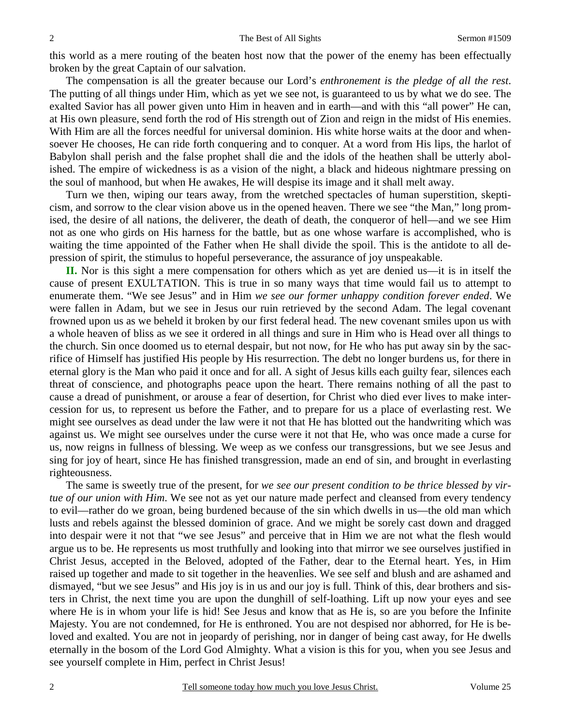this world as a mere routing of the beaten host now that the power of the enemy has been effectually broken by the great Captain of our salvation.

 The compensation is all the greater because our Lord's *enthronement is the pledge of all the rest*. The putting of all things under Him, which as yet we see not, is guaranteed to us by what we do see. The exalted Savior has all power given unto Him in heaven and in earth—and with this "all power" He can, at His own pleasure, send forth the rod of His strength out of Zion and reign in the midst of His enemies. With Him are all the forces needful for universal dominion. His white horse waits at the door and whensoever He chooses, He can ride forth conquering and to conquer. At a word from His lips, the harlot of Babylon shall perish and the false prophet shall die and the idols of the heathen shall be utterly abolished. The empire of wickedness is as a vision of the night, a black and hideous nightmare pressing on the soul of manhood, but when He awakes, He will despise its image and it shall melt away.

 Turn we then, wiping our tears away, from the wretched spectacles of human superstition, skepticism, and sorrow to the clear vision above us in the opened heaven. There we see "the Man," long promised, the desire of all nations, the deliverer, the death of death, the conqueror of hell—and we see Him not as one who girds on His harness for the battle, but as one whose warfare is accomplished, who is waiting the time appointed of the Father when He shall divide the spoil. This is the antidote to all depression of spirit, the stimulus to hopeful perseverance, the assurance of joy unspeakable.

 **II.** Nor is this sight a mere compensation for others which as yet are denied us—it is in itself the cause of present EXULTATION. This is true in so many ways that time would fail us to attempt to enumerate them. "We see Jesus" and in Him *we see our former unhappy condition forever ended*. We were fallen in Adam, but we see in Jesus our ruin retrieved by the second Adam. The legal covenant frowned upon us as we beheld it broken by our first federal head. The new covenant smiles upon us with a whole heaven of bliss as we see it ordered in all things and sure in Him who is Head over all things to the church. Sin once doomed us to eternal despair, but not now, for He who has put away sin by the sacrifice of Himself has justified His people by His resurrection. The debt no longer burdens us, for there in eternal glory is the Man who paid it once and for all. A sight of Jesus kills each guilty fear, silences each threat of conscience, and photographs peace upon the heart. There remains nothing of all the past to cause a dread of punishment, or arouse a fear of desertion, for Christ who died ever lives to make intercession for us, to represent us before the Father, and to prepare for us a place of everlasting rest. We might see ourselves as dead under the law were it not that He has blotted out the handwriting which was against us. We might see ourselves under the curse were it not that He, who was once made a curse for us, now reigns in fullness of blessing. We weep as we confess our transgressions, but we see Jesus and sing for joy of heart, since He has finished transgression, made an end of sin, and brought in everlasting righteousness.

 The same is sweetly true of the present, for *we see our present condition to be thrice blessed by virtue of our union with Him*. We see not as yet our nature made perfect and cleansed from every tendency to evil—rather do we groan, being burdened because of the sin which dwells in us—the old man which lusts and rebels against the blessed dominion of grace. And we might be sorely cast down and dragged into despair were it not that "we see Jesus" and perceive that in Him we are not what the flesh would argue us to be. He represents us most truthfully and looking into that mirror we see ourselves justified in Christ Jesus, accepted in the Beloved, adopted of the Father, dear to the Eternal heart. Yes, in Him raised up together and made to sit together in the heavenlies. We see self and blush and are ashamed and dismayed, "but we see Jesus" and His joy is in us and our joy is full. Think of this, dear brothers and sisters in Christ, the next time you are upon the dunghill of self-loathing. Lift up now your eyes and see where He is in whom your life is hid! See Jesus and know that as He is, so are you before the Infinite Majesty. You are not condemned, for He is enthroned. You are not despised nor abhorred, for He is beloved and exalted. You are not in jeopardy of perishing, nor in danger of being cast away, for He dwells eternally in the bosom of the Lord God Almighty. What a vision is this for you, when you see Jesus and see yourself complete in Him, perfect in Christ Jesus!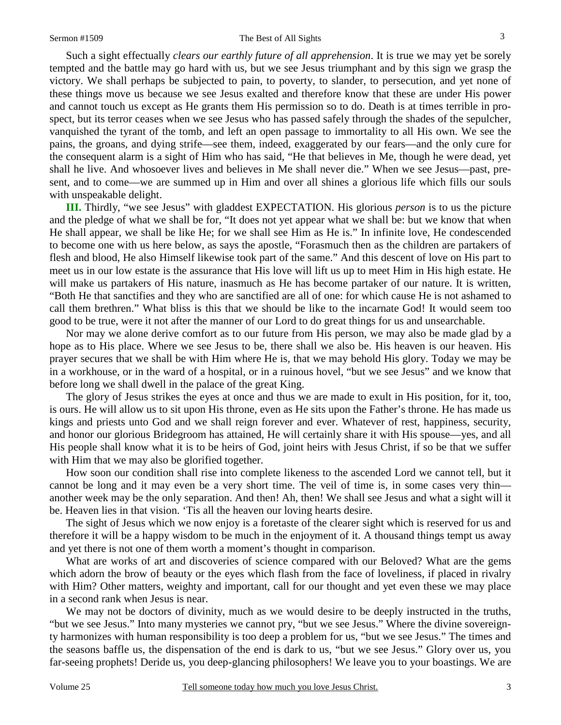Such a sight effectually *clears our earthly future of all apprehension*. It is true we may yet be sorely tempted and the battle may go hard with us, but we see Jesus triumphant and by this sign we grasp the victory. We shall perhaps be subjected to pain, to poverty, to slander, to persecution, and yet none of these things move us because we see Jesus exalted and therefore know that these are under His power and cannot touch us except as He grants them His permission so to do. Death is at times terrible in prospect, but its terror ceases when we see Jesus who has passed safely through the shades of the sepulcher, vanquished the tyrant of the tomb, and left an open passage to immortality to all His own. We see the pains, the groans, and dying strife—see them, indeed, exaggerated by our fears—and the only cure for the consequent alarm is a sight of Him who has said, "He that believes in Me, though he were dead, yet shall he live. And whosoever lives and believes in Me shall never die." When we see Jesus—past, present, and to come—we are summed up in Him and over all shines a glorious life which fills our souls with unspeakable delight.

**III.** Thirdly, "we see Jesus" with gladdest EXPECTATION. His glorious *person* is to us the picture and the pledge of what we shall be for, "It does not yet appear what we shall be: but we know that when He shall appear, we shall be like He; for we shall see Him as He is." In infinite love, He condescended to become one with us here below, as says the apostle, "Forasmuch then as the children are partakers of flesh and blood, He also Himself likewise took part of the same." And this descent of love on His part to meet us in our low estate is the assurance that His love will lift us up to meet Him in His high estate. He will make us partakers of His nature, inasmuch as He has become partaker of our nature. It is written, "Both He that sanctifies and they who are sanctified are all of one: for which cause He is not ashamed to call them brethren." What bliss is this that we should be like to the incarnate God! It would seem too good to be true, were it not after the manner of our Lord to do great things for us and unsearchable.

 Nor may we alone derive comfort as to our future from His person, we may also be made glad by a hope as to His place. Where we see Jesus to be, there shall we also be. His heaven is our heaven. His prayer secures that we shall be with Him where He is, that we may behold His glory. Today we may be in a workhouse, or in the ward of a hospital, or in a ruinous hovel, "but we see Jesus" and we know that before long we shall dwell in the palace of the great King.

 The glory of Jesus strikes the eyes at once and thus we are made to exult in His position, for it, too, is ours. He will allow us to sit upon His throne, even as He sits upon the Father's throne. He has made us kings and priests unto God and we shall reign forever and ever. Whatever of rest, happiness, security, and honor our glorious Bridegroom has attained, He will certainly share it with His spouse—yes, and all His people shall know what it is to be heirs of God, joint heirs with Jesus Christ, if so be that we suffer with Him that we may also be glorified together.

 How soon our condition shall rise into complete likeness to the ascended Lord we cannot tell, but it cannot be long and it may even be a very short time. The veil of time is, in some cases very thin another week may be the only separation. And then! Ah, then! We shall see Jesus and what a sight will it be. Heaven lies in that vision. 'Tis all the heaven our loving hearts desire.

 The sight of Jesus which we now enjoy is a foretaste of the clearer sight which is reserved for us and therefore it will be a happy wisdom to be much in the enjoyment of it. A thousand things tempt us away and yet there is not one of them worth a moment's thought in comparison.

 What are works of art and discoveries of science compared with our Beloved? What are the gems which adorn the brow of beauty or the eyes which flash from the face of loveliness, if placed in rivalry with Him? Other matters, weighty and important, call for our thought and yet even these we may place in a second rank when Jesus is near.

 We may not be doctors of divinity, much as we would desire to be deeply instructed in the truths, "but we see Jesus." Into many mysteries we cannot pry, "but we see Jesus." Where the divine sovereignty harmonizes with human responsibility is too deep a problem for us, "but we see Jesus." The times and the seasons baffle us, the dispensation of the end is dark to us, "but we see Jesus." Glory over us, you far-seeing prophets! Deride us, you deep-glancing philosophers! We leave you to your boastings. We are